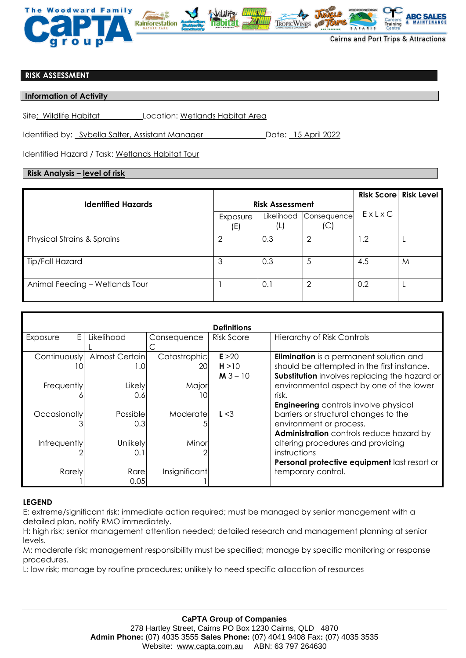

## **RISK ASSESSMENT**

**Information of Activity** 

Site: Wildlife Habitat \_ Location: Wetlands Habitat Area

Identified by: Sybella Salter, Assistant Manager Date: 15 April 2022

Identified Hazard / Task: Wetlands Habitat Tour

## **Risk Analysis – level of risk**

|                                       |                        |                   |                    |       | <b>Risk Score Risk Level</b> |
|---------------------------------------|------------------------|-------------------|--------------------|-------|------------------------------|
| <b>Identified Hazards</b>             | <b>Risk Assessment</b> |                   |                    |       |                              |
|                                       | Exposure<br>(E)        | Likelihood<br>(L) | Consequence<br>(C) | ExLxC |                              |
| <b>Physical Strains &amp; Sprains</b> | ◠                      | 0.3               | 2                  | 1.2   |                              |
| Tip/Fall Hazard                       | 3                      | 0.3               | 5                  | 4.5   | M                            |
| Animal Feeding - Wetlands Tour        |                        | 0.1               | 2                  | 0.2   |                              |

| <b>Definitions</b>  |                        |                           |                               |                                                                                                                                               |  |  |  |  |
|---------------------|------------------------|---------------------------|-------------------------------|-----------------------------------------------------------------------------------------------------------------------------------------------|--|--|--|--|
| E.<br>Exposure      | Likelihood             | Consequence               | Risk Score                    | <b>Hierarchy of Risk Controls</b>                                                                                                             |  |  |  |  |
| Continuously<br>10  | Almost Certain<br>1.0  | Catastrophic<br><b>20</b> | E > 20<br>H > 10<br>$M3 - 10$ | <b>Elimination</b> is a permanent solution and<br>should be attempted in the first instance.<br>Substitution involves replacing the hazard or |  |  |  |  |
| Frequently          | Likely<br>0.6          | Major                     |                               | environmental aspect by one of the lower<br>risk.<br><b>Engineering</b> controls involve physical                                             |  |  |  |  |
| <b>Occasionally</b> | Possiblel<br>0.3       | Moderate                  | L < 3                         | barriers or structural changes to the<br>environment or process.<br>Administration controls reduce hazard by                                  |  |  |  |  |
| Infrequently        | <b>Unlikely</b><br>0.1 | Minor                     |                               | altering procedures and providing<br>instructions<br>Personal protective equipment last resort or                                             |  |  |  |  |
| Rarely              | Rare<br>0.05           | Insignificant             |                               | temporary control.                                                                                                                            |  |  |  |  |

## **LEGEND**

E: extreme/significant risk; immediate action required; must be managed by senior management with a detailed plan, notify RMO immediately.

H: high risk; senior management attention needed; detailed research and management planning at senior levels.

M: moderate risk; management responsibility must be specified; manage by specific monitoring or response procedures.

L: low risk; manage by routine procedures; unlikely to need specific allocation of resources